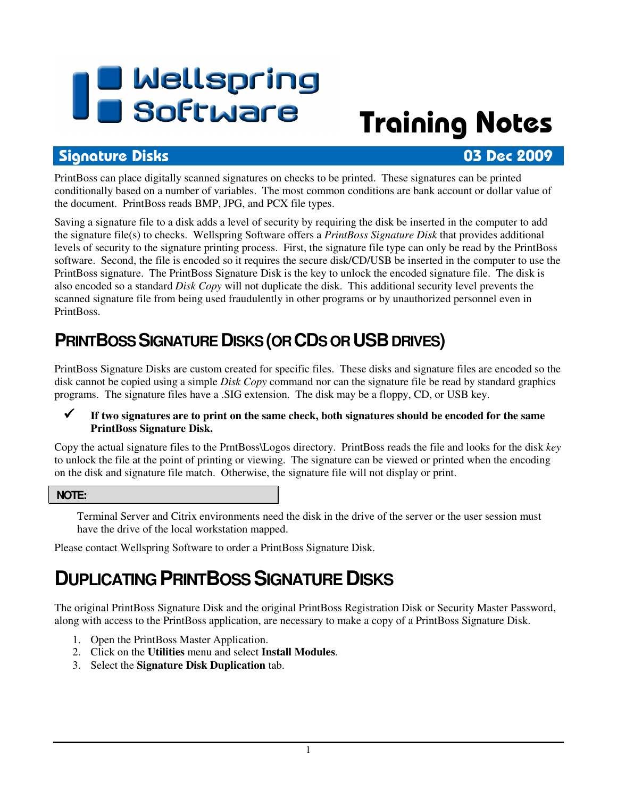# **I B** Wellspring<br>**UB** Software

## Training Notes

#### Signature Disks 03 Dec 2009

PrintBoss can place digitally scanned signatures on checks to be printed. These signatures can be printed conditionally based on a number of variables. The most common conditions are bank account or dollar value of the document. PrintBoss reads BMP, JPG, and PCX file types.

Saving a signature file to a disk adds a level of security by requiring the disk be inserted in the computer to add the signature file(s) to checks. Wellspring Software offers a *PrintBoss Signature Disk* that provides additional levels of security to the signature printing process. First, the signature file type can only be read by the PrintBoss software. Second, the file is encoded so it requires the secure disk/CD/USB be inserted in the computer to use the PrintBoss signature. The PrintBoss Signature Disk is the key to unlock the encoded signature file. The disk is also encoded so a standard *Disk Copy* will not duplicate the disk. This additional security level prevents the scanned signature file from being used fraudulently in other programs or by unauthorized personnel even in PrintBoss.

#### **PRINTBOSS SIGNATURE DISKS (OR CDS OR USB DRIVES)**

PrintBoss Signature Disks are custom created for specific files. These disks and signature files are encoded so the disk cannot be copied using a simple *Disk Copy* command nor can the signature file be read by standard graphics programs. The signature files have a .SIG extension. The disk may be a floppy, CD, or USB key.

#### **If two signatures are to print on the same check, both signatures should be encoded for the same PrintBoss Signature Disk.**

Copy the actual signature files to the PrntBoss\Logos directory. PrintBoss reads the file and looks for the disk *key* to unlock the file at the point of printing or viewing. The signature can be viewed or printed when the encoding on the disk and signature file match. Otherwise, the signature file will not display or print.

 **NOTE:** 

Terminal Server and Citrix environments need the disk in the drive of the server or the user session must have the drive of the local workstation mapped.

Please contact Wellspring Software to order a PrintBoss Signature Disk.

#### **DUPLICATING PRINTBOSS SIGNATURE DISKS**

The original PrintBoss Signature Disk and the original PrintBoss Registration Disk or Security Master Password, along with access to the PrintBoss application, are necessary to make a copy of a PrintBoss Signature Disk.

- 1. Open the PrintBoss Master Application.
- 2. Click on the **Utilities** menu and select **Install Modules**.
- 3. Select the **Signature Disk Duplication** tab.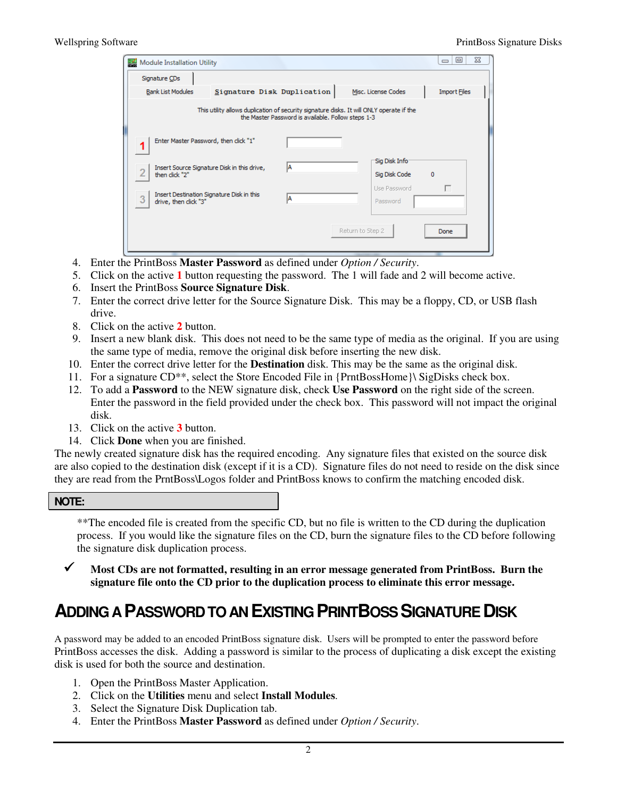| Module Installation Utility                                                                                                                    |                                             |     |                               | 23<br>▣<br>$\equiv$ |  |  |
|------------------------------------------------------------------------------------------------------------------------------------------------|---------------------------------------------|-----|-------------------------------|---------------------|--|--|
| Signature CDs                                                                                                                                  |                                             |     |                               |                     |  |  |
| <b>Bank List Modules</b>                                                                                                                       | Signature Disk Duplication                  |     | Misc. License Codes           | <b>Import Files</b> |  |  |
| This utility allows duplication of security signature disks. It will ONLY operate if the<br>the Master Password is available. Follow steps 1-3 |                                             |     |                               |                     |  |  |
| Enter Master Password, then click "1"                                                                                                          |                                             |     |                               |                     |  |  |
|                                                                                                                                                | Insert Source Signature Disk in this drive, |     | Sig Disk Info                 |                     |  |  |
| then click "2"                                                                                                                                 |                                             |     | Sig Disk Code<br>Use Password | $\mathbf 0$         |  |  |
| Insert Destination Signature Disk in this<br>3<br>drive, then click "3"                                                                        |                                             | IA. | Password                      | П                   |  |  |
| Return to Step 2<br>Done                                                                                                                       |                                             |     |                               |                     |  |  |

- 4. Enter the PrintBoss **Master Password** as defined under *Option / Security*.
- 5. Click on the active **1** button requesting the password. The 1 will fade and 2 will become active.
- 6. Insert the PrintBoss **Source Signature Disk**.
- 7. Enter the correct drive letter for the Source Signature Disk. This may be a floppy, CD, or USB flash drive.
- 8. Click on the active **2** button.
- 9. Insert a new blank disk. This does not need to be the same type of media as the original. If you are using the same type of media, remove the original disk before inserting the new disk.
- 10. Enter the correct drive letter for the **Destination** disk. This may be the same as the original disk.
- 11. For a signature CD\*\*, select the Store Encoded File in {PrntBossHome}\ SigDisks check box.
- 12. To add a **Password** to the NEW signature disk, check **Use Password** on the right side of the screen. Enter the password in the field provided under the check box. This password will not impact the original disk.
- 13. Click on the active **3** button.
- 14. Click **Done** when you are finished.

The newly created signature disk has the required encoding. Any signature files that existed on the source disk are also copied to the destination disk (except if it is a CD). Signature files do not need to reside on the disk since they are read from the PrntBoss\Logos folder and PrintBoss knows to confirm the matching encoded disk.

**NOTE:** 

\*\*The encoded file is created from the specific CD, but no file is written to the CD during the duplication process. If you would like the signature files on the CD, burn the signature files to the CD before following the signature disk duplication process.

 **Most CDs are not formatted, resulting in an error message generated from PrintBoss. Burn the signature file onto the CD prior to the duplication process to eliminate this error message.** 

#### **ADDING A PASSWORD TO AN EXISTING PRINTBOSS SIGNATURE DISK**

A password may be added to an encoded PrintBoss signature disk. Users will be prompted to enter the password before PrintBoss accesses the disk. Adding a password is similar to the process of duplicating a disk except the existing disk is used for both the source and destination.

- 1. Open the PrintBoss Master Application.
- 2. Click on the **Utilities** menu and select **Install Modules**.
- 3. Select the Signature Disk Duplication tab.
- 4. Enter the PrintBoss **Master Password** as defined under *Option / Security*.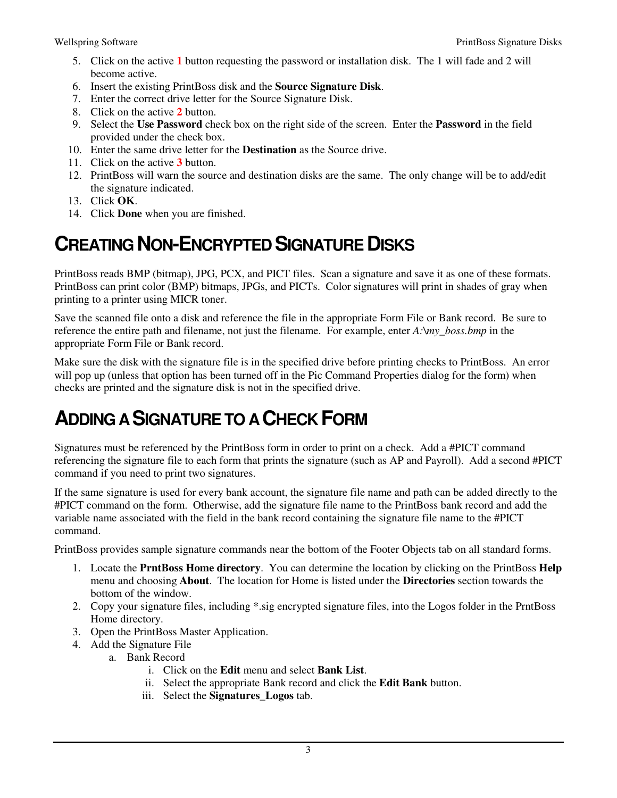- 5. Click on the active **1** button requesting the password or installation disk. The 1 will fade and 2 will become active.
- 6. Insert the existing PrintBoss disk and the **Source Signature Disk**.
- 7. Enter the correct drive letter for the Source Signature Disk.
- 8. Click on the active **2** button.
- 9. Select the **Use Password** check box on the right side of the screen. Enter the **Password** in the field provided under the check box.
- 10. Enter the same drive letter for the **Destination** as the Source drive.
- 11. Click on the active **3** button.
- 12. PrintBoss will warn the source and destination disks are the same. The only change will be to add/edit the signature indicated.
- 13. Click **OK**.
- 14. Click **Done** when you are finished.

### **CREATING NON-ENCRYPTED SIGNATURE DISKS**

PrintBoss reads BMP (bitmap), JPG, PCX, and PICT files. Scan a signature and save it as one of these formats. PrintBoss can print color (BMP) bitmaps, JPGs, and PICTs. Color signatures will print in shades of gray when printing to a printer using MICR toner.

Save the scanned file onto a disk and reference the file in the appropriate Form File or Bank record. Be sure to reference the entire path and filename, not just the filename. For example, enter *A:\my\_boss.bmp* in the appropriate Form File or Bank record.

Make sure the disk with the signature file is in the specified drive before printing checks to PrintBoss. An error will pop up (unless that option has been turned off in the Pic Command Properties dialog for the form) when checks are printed and the signature disk is not in the specified drive.

#### **ADDING A SIGNATURE TO A CHECK FORM**

Signatures must be referenced by the PrintBoss form in order to print on a check. Add a #PICT command referencing the signature file to each form that prints the signature (such as AP and Payroll). Add a second #PICT command if you need to print two signatures.

If the same signature is used for every bank account, the signature file name and path can be added directly to the #PICT command on the form. Otherwise, add the signature file name to the PrintBoss bank record and add the variable name associated with the field in the bank record containing the signature file name to the #PICT command.

PrintBoss provides sample signature commands near the bottom of the Footer Objects tab on all standard forms.

- 1. Locate the **PrntBoss Home directory**. You can determine the location by clicking on the PrintBoss **Help** menu and choosing **About**. The location for Home is listed under the **Directories** section towards the bottom of the window.
- 2. Copy your signature files, including \*.sig encrypted signature files, into the Logos folder in the PrntBoss Home directory.
- 3. Open the PrintBoss Master Application.
- 4. Add the Signature File
	- a. Bank Record
		- i. Click on the **Edit** menu and select **Bank List**.
		- ii. Select the appropriate Bank record and click the **Edit Bank** button.
		- iii. Select the **Signatures\_Logos** tab.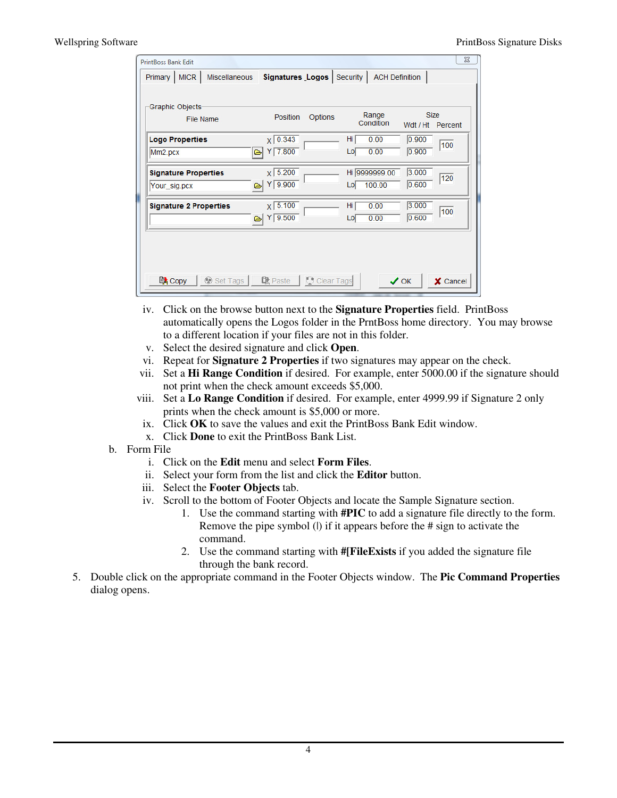| Graphic Objects-<br>File Name                 | <b>Position</b><br>Options                      | Range<br>Condition             | <b>Size</b><br>Wdt / Ht Percent |
|-----------------------------------------------|-------------------------------------------------|--------------------------------|---------------------------------|
| <b>Logo Properties</b><br>Mm <sub>2.pcx</sub> | $X$ 0.343<br>$Y$ 7.800<br>⋐                     | Hi<br>0.00<br>0.00<br>Lo       | 0.900<br>100<br>0.900           |
| <b>Signature Properties</b><br>Your_sig.pcx   | $x \mid 5.200$<br>$Y$ 9.900<br>$\triangleright$ | Hi 9999999.00<br>100.00<br>Lol | 3.000<br>120<br>0.600           |
| <b>Signature 2 Properties</b>                 | $x \mid 5.100$<br>$Y$ 9.500<br>$\triangleright$ | Hi<br>0.00<br>0.00<br>Lo       | 3.000<br>100<br>0.600           |

- iv. Click on the browse button next to the **Signature Properties** field. PrintBoss automatically opens the Logos folder in the PrntBoss home directory. You may browse to a different location if your files are not in this folder.
- v. Select the desired signature and click **Open**.
- vi. Repeat for **Signature 2 Properties** if two signatures may appear on the check.
- vii. Set a **Hi Range Condition** if desired. For example, enter 5000.00 if the signature should not print when the check amount exceeds \$5,000.
- viii. Set a **Lo Range Condition** if desired. For example, enter 4999.99 if Signature 2 only prints when the check amount is \$5,000 or more.
- ix. Click **OK** to save the values and exit the PrintBoss Bank Edit window.
- x. Click **Done** to exit the PrintBoss Bank List.
- b. Form File
	- i. Click on the **Edit** menu and select **Form Files**.
	- ii. Select your form from the list and click the **Editor** button.
	- iii. Select the **Footer Objects** tab.
	- iv. Scroll to the bottom of Footer Objects and locate the Sample Signature section.
		- 1. Use the command starting with **#PIC** to add a signature file directly to the form. Remove the pipe symbol (|) if it appears before the # sign to activate the command.
		- 2. Use the command starting with **#[FileExists** if you added the signature file through the bank record.
- 5. Double click on the appropriate command in the Footer Objects window. The **Pic Command Properties** dialog opens.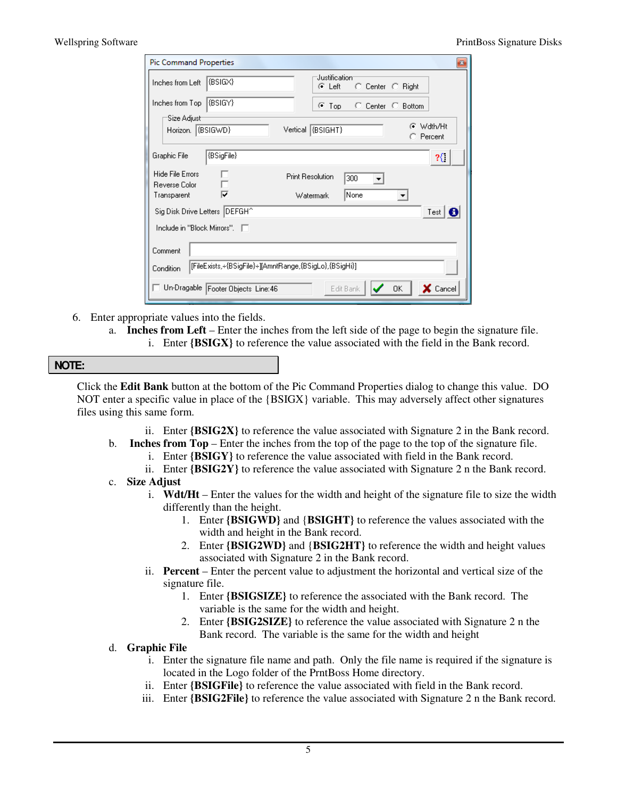| <b>Pic Command Properties</b>                                        |                                      |                         |                  |                | $\mathbf{z}$    |
|----------------------------------------------------------------------|--------------------------------------|-------------------------|------------------|----------------|-----------------|
| Inches from Left                                                     | (BSIGX)                              | Justification<br>G Left | C Center C Right |                |                 |
| Inches from Top                                                      | (BSIGY)                              | G.<br>Top               | $\cap$ Center    | C Bottom       |                 |
| Size Adjust <sup>.</sup><br>Horizon. (BSIGWD)                        |                                      | Vertical (BSIGHT)       |                  | G<br>C Percent | Wdth/Ht         |
| Graphic File                                                         | $\overline{\text{(BSigFile)}}$       |                         |                  |                | ર{              |
| <b>Hide File Errors</b><br>Reverse Color                             |                                      | <b>Print Resolution</b> | 300<br>▼         |                |                 |
| Transparent                                                          | ⊽                                    | Watermark               | None             |                |                 |
| Sig Disk Drive Letters   DEFGH^<br>Test $\big  \bigoplus$            |                                      |                         |                  |                |                 |
| Include in "Block Mirrors". □                                        |                                      |                         |                  |                |                 |
| Comment                                                              |                                      |                         |                  |                |                 |
| [{FileExists,÷{BSigFile}÷][AmntRange,{BSigLo},{BSigHi}]<br>Condition |                                      |                         |                  |                |                 |
|                                                                      | □ Un-Dragable Footer Objects Line:46 |                         | Edit Bank        | 0K             | $\times$ Cancel |

- 6. Enter appropriate values into the fields.
	- a. **Inches from Left** Enter the inches from the left side of the page to begin the signature file. i. Enter **{BSIGX}** to reference the value associated with the field in the Bank record.

| <b>NOTE:</b> |  |
|--------------|--|
|              |  |
|              |  |

Click the **Edit Bank** button at the bottom of the Pic Command Properties dialog to change this value. DO NOT enter a specific value in place of the {BSIGX} variable. This may adversely affect other signatures files using this same form.

- ii. Enter **{BSIG2X}** to reference the value associated with Signature 2 in the Bank record.
- b. **Inches from Top** Enter the inches from the top of the page to the top of the signature file. i. Enter **{BSIGY}** to reference the value associated with field in the Bank record.
	- ii. Enter **{BSIG2Y}** to reference the value associated with Signature 2 n the Bank record.
- c. **Size Adjust**
	- i. **Wdt/Ht** Enter the values for the width and height of the signature file to size the width differently than the height.
		- 1. Enter **{BSIGWD}** and {**BSIGHT}** to reference the values associated with the width and height in the Bank record.
		- 2. Enter **{BSIG2WD}** and {**BSIG2HT}** to reference the width and height values associated with Signature 2 in the Bank record.
	- ii. **Percent** Enter the percent value to adjustment the horizontal and vertical size of the signature file.
		- 1. Enter **{BSIGSIZE}** to reference the associated with the Bank record. The variable is the same for the width and height.
		- 2. Enter **{BSIG2SIZE}** to reference the value associated with Signature 2 n the Bank record. The variable is the same for the width and height
- d. **Graphic File**
	- i. Enter the signature file name and path. Only the file name is required if the signature is located in the Logo folder of the PrntBoss Home directory.
	- ii. Enter **{BSIGFile}** to reference the value associated with field in the Bank record.
	- iii. Enter **{BSIG2File}** to reference the value associated with Signature 2 n the Bank record.